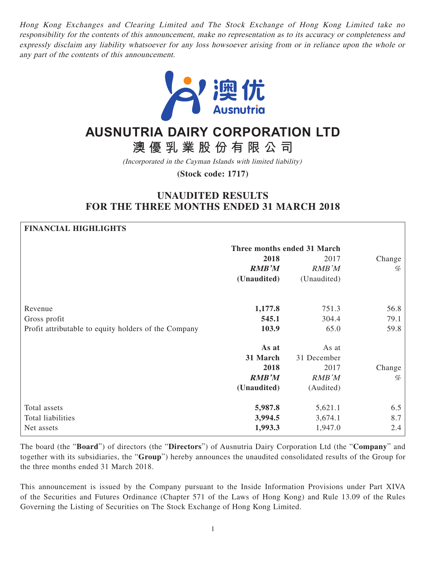Hong Kong Exchanges and Clearing Limited and The Stock Exchange of Hong Kong Limited take no responsibility for the contents of this announcement, make no representation as to its accuracy or completeness and expressly disclaim any liability whatsoever for any loss howsoever arising from or in reliance upon the whole or any part of the contents of this announcement.



# **AUSNUTRIA DAIRY CORPORATION LTD**

**澳優乳業股份有限公司**

(Incorporated in the Cayman Islands with limited liability)

**(Stock code: 1717)**

## **UNAUDITED RESULTS FOR THE THREE MONTHS ENDED 31 MARCH 2018**

# **FINANCIAL HIGHLIGHTS Three months ended 31 March 2018** 2017 Change **RMB'M** RMB'M % **(Unaudited)** (Unaudited) Revenue **1,177.8** 751.3 56.8 Gross profit **545.1** 304.4 79.1 Profit attributable to equity holders of the Company **103.9** 65.0 65.0 65.8 **As at 31 March 2018** As at 31 December 2017 Change **RMB'M** RMB'M % **(Unaudited)** (Audited) Total assets **5,987.8** 5,621.1 6.5 Total liabilities **3,994.5** 3,674.1 8.7 Net assets **1,993.3** 1,947.0 2.4

The board (the "**Board**") of directors (the "**Directors**") of Ausnutria Dairy Corporation Ltd (the "**Company**" and together with its subsidiaries, the "**Group**") hereby announces the unaudited consolidated results of the Group for the three months ended 31 March 2018.

This announcement is issued by the Company pursuant to the Inside Information Provisions under Part XIVA of the Securities and Futures Ordinance (Chapter 571 of the Laws of Hong Kong) and Rule 13.09 of the Rules Governing the Listing of Securities on The Stock Exchange of Hong Kong Limited.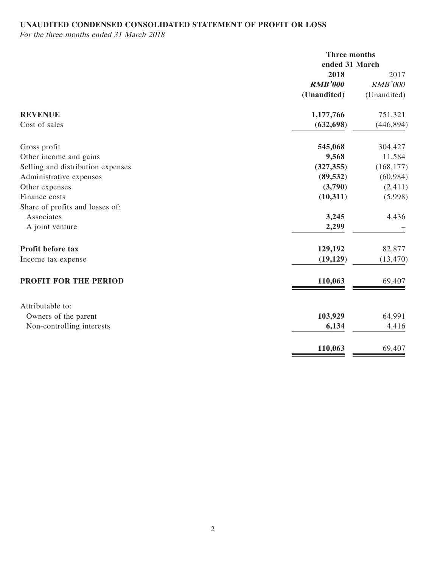## **UNAUDITED CONDENSED CONSOLIDATED STATEMENT OF PROFIT OR LOSS**

For the three months ended 31 March 2018

|                                   | Three months<br>ended 31 March |                        |
|-----------------------------------|--------------------------------|------------------------|
|                                   | 2018<br><b>RMB'000</b>         | 2017<br><b>RMB'000</b> |
|                                   | (Unaudited)                    | (Unaudited)            |
| <b>REVENUE</b>                    | 1,177,766                      | 751,321                |
| Cost of sales                     | (632, 698)                     | (446, 894)             |
| Gross profit                      | 545,068                        | 304,427                |
| Other income and gains            | 9,568                          | 11,584                 |
| Selling and distribution expenses | (327, 355)                     | (168, 177)             |
| Administrative expenses           | (89, 532)                      | (60, 984)              |
| Other expenses                    | (3,790)                        | (2,411)                |
| Finance costs                     | (10,311)                       | (5,998)                |
| Share of profits and losses of:   |                                |                        |
| Associates                        | 3,245                          | 4,436                  |
| A joint venture                   | 2,299                          |                        |
| Profit before tax                 | 129,192                        | 82,877                 |
| Income tax expense                | (19, 129)                      | (13, 470)              |
| PROFIT FOR THE PERIOD             | 110,063                        | 69,407                 |
|                                   |                                |                        |
| Attributable to:                  |                                |                        |
| Owners of the parent              | 103,929                        | 64,991                 |
| Non-controlling interests         | 6,134                          | 4,416                  |
|                                   | 110,063                        | 69,407                 |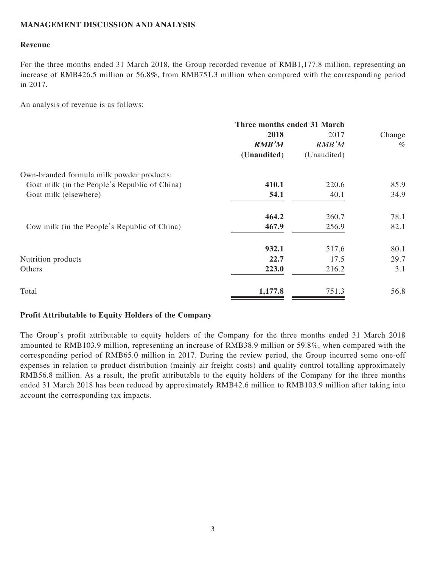## **MANAGEMENT DISCUSSION AND ANALYSIS**

### **Revenue**

For the three months ended 31 March 2018, the Group recorded revenue of RMB1,177.8 million, representing an increase of RMB426.5 million or 56.8%, from RMB751.3 million when compared with the corresponding period in 2017.

An analysis of revenue is as follows:

|                                               | Three months ended 31 March |             |        |
|-----------------------------------------------|-----------------------------|-------------|--------|
|                                               | 2018                        | 2017        | Change |
|                                               | <b>RMB'M</b>                | RMB'M       | %      |
|                                               | (Unaudited)                 | (Unaudited) |        |
| Own-branded formula milk powder products:     |                             |             |        |
| Goat milk (in the People's Republic of China) | 410.1                       | 220.6       | 85.9   |
| Goat milk (elsewhere)                         | 54.1                        | 40.1        | 34.9   |
|                                               | 464.2                       | 260.7       | 78.1   |
| Cow milk (in the People's Republic of China)  | 467.9                       | 256.9       | 82.1   |
|                                               | 932.1                       | 517.6       | 80.1   |
| Nutrition products                            | 22.7                        | 17.5        | 29.7   |
| Others                                        | 223.0                       | 216.2       | 3.1    |
| Total                                         | 1,177.8                     | 751.3       | 56.8   |

### **Profit Attributable to Equity Holders of the Company**

The Group's profit attributable to equity holders of the Company for the three months ended 31 March 2018 amounted to RMB103.9 million, representing an increase of RMB38.9 million or 59.8%, when compared with the corresponding period of RMB65.0 million in 2017. During the review period, the Group incurred some one-off expenses in relation to product distribution (mainly air freight costs) and quality control totalling approximately RMB56.8 million. As a result, the profit attributable to the equity holders of the Company for the three months ended 31 March 2018 has been reduced by approximately RMB42.6 million to RMB103.9 million after taking into account the corresponding tax impacts.